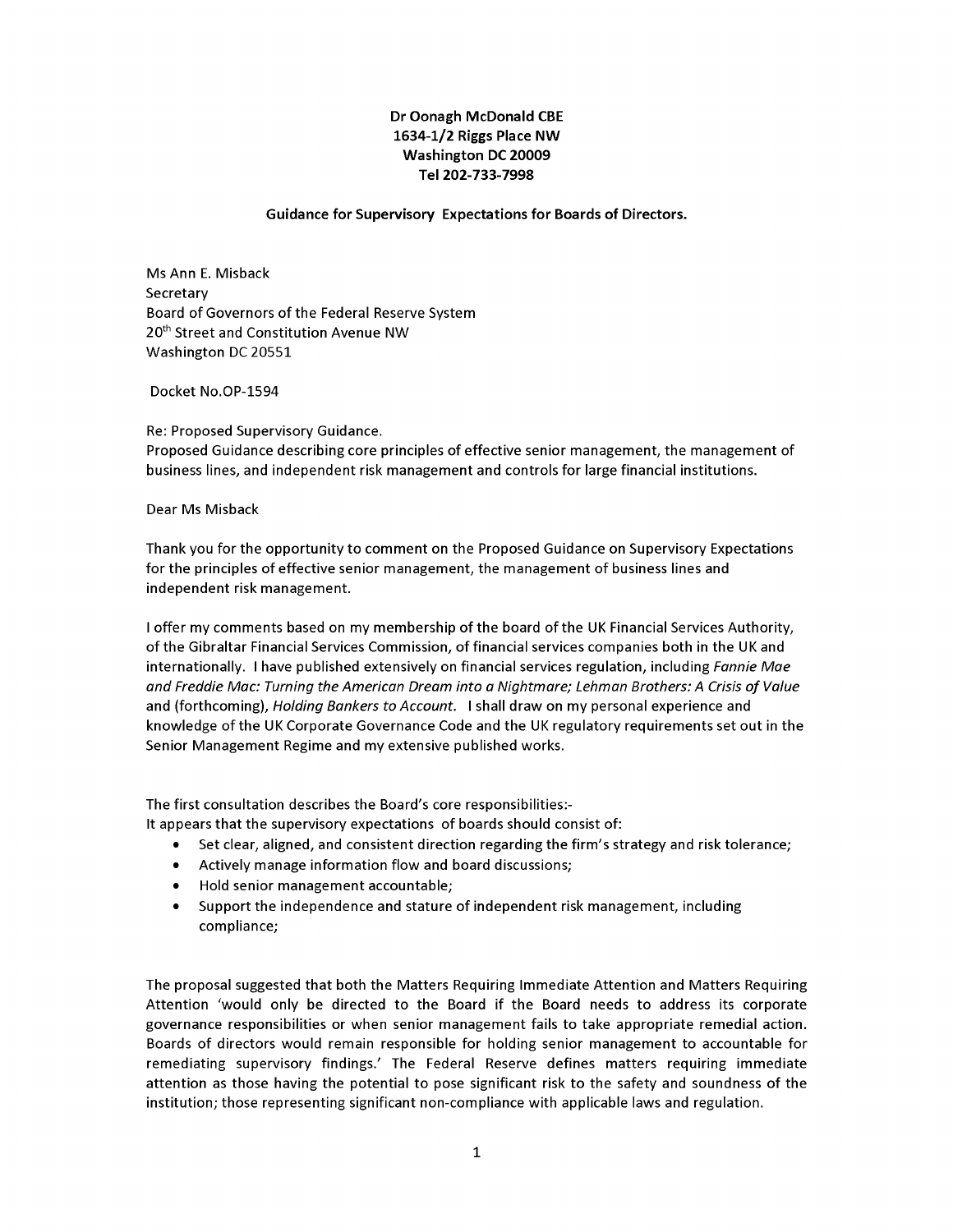## **Dr Oonagh McDonald CBE** *1634-1/2 Ri s Place NW* **Washington DC 20009** *Tel 202-733-7998*

## *Guidance for Supervisory Expectations for Boards of Directors.*

*Ms Ann E. M sback Secretary Board of Governors of the Federal Reserve System 20th Street and Const tut on Avenue NW Wash ngton DC 20551*

*Docket No.OP-1594*

 $Re:$  *Proposed Supervisory Guidance. Proposed Gu dance descr b ng core pr nc ples of effect ve sen or management, the management of bus ness l nes, and ndependent r sk management and controlsfor large f nanc al nst tut ons.*

*Dear Ms M sback*

*Thank* you for the opportunity to comment on the Proposed Guidance on Supervisory Expectations *for the pr nc ples of effect ve sen or management, the management of bus ness l nes and independent* risk management.

*I offer my comments based on my membersh p of the board of the UK F nanc al Serv ces Author ty, of the G braltar F nanc al Serv ces Comm ss on, of f nanc al serv ces compan es both n the UK and nternat onally. I have publ shed extens vely on f nanc alserv ces regulat on, nclud ng Fannie Mae an Fre ie Mac: Turning the American Dream into a Nightmare; Lehman Brothers: A Crisis of Value and* (forthcoming), *Holding Bankers to Account.* I shall draw on my personal experience and *knowledge of the UK Corporate Governance Code and the UK regulatory requ rementsset out n the Sen or Management Reg me and my extens ve publ shed works.*

*The first consultation describes the Board's core responsibilities:-*

*It* appears that the supervisory expectations of boards should consist of:

- *• Set clear, al gned, and cons stent d rect on regard ng the f rm's strategy and r sk tolerance;*
- Actively manage information flow and board discussions;
- *• Hold sen or management accountable;*
- *• Support the ndependence and stature of ndependent r sk management, nclud ng* compliance;

*The proposal suggested that both the Matters Requ r ng Immed ate Attent on and Matters Requ r ng Attent on 'would only be d rected to the Board f the Board needs to address ts corporate governance respons b l t es or when sen or management fa ls to take appropr ate remed al act on. Boards of d rectors would rema n respons ble for hold ng sen or management to accountable for remediating supervisory findings.'* The Federal Reserve defines matters requiring immediate *attent on as those hav ng the potent al to pose s gn f cant r sk to the safety and soundness of the institution; those representing significant non-compliance with applicable laws and regulation.*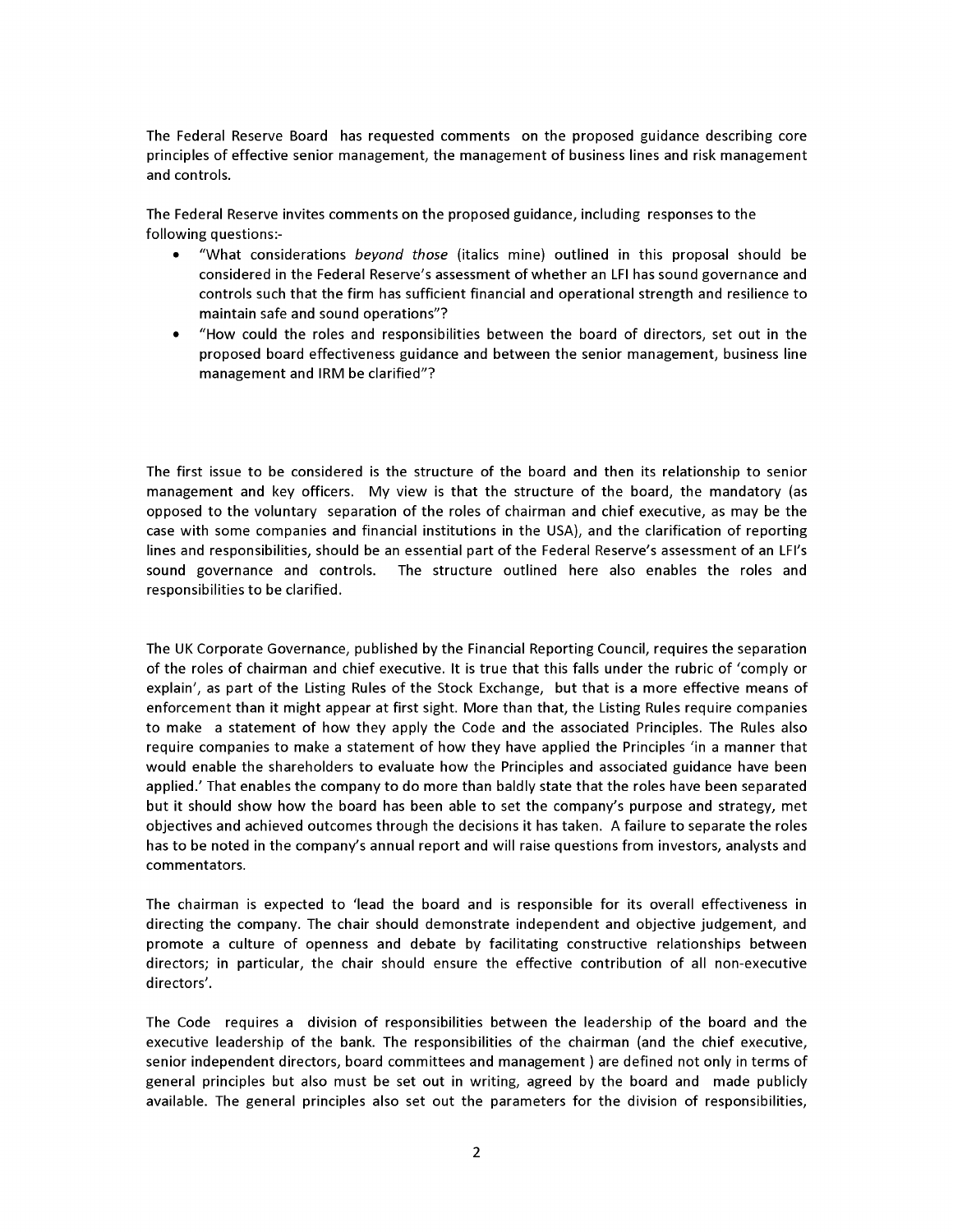*The Federal Reserve Board has requested comments on the proposed gu dance descr b ng core pr nc ples of effect ve sen or management, the management of bus ness l nes and r sk management and controls.*

*The* Federal Reserve invites comments on the proposed guidance, including responses to the *follow ng quest ons:-*

- "What considerations *beyond those* (italics mine) outlined in this proposal should be *cons dered n the Federal Reserve's assessment of whether an LFI has sound governance and controls such that the f rm has suff c ent f nanc al and operat onal strength and res l ence to ma nta n safe and sound operat ons"?*
- "How could the roles and responsibilities between the board of directors, set out in the *proposed board effect veness gu dance and between the sen or management, bus ness l ne management and IRM be clar f ed"?*

*The f rst ssue to be cons dered s the structure of the board and then ts relat onsh p to sen or management and key off cers. My v ew s that the structure of the board, the mandatory (as opposed to the voluntary separat on of the roles of cha rman and ch ef execut ve, as may be the case w th some compan es and f nanc al nst tut ons n the USA), and the clar f cat on of report ng l nes and respons b l t es, should be an essent al part of the Federal Reserve's assessment of an LFI's sound governance and controls. The structure outl ned here also enables the roles and respons b l t es to be clar f ed.*

*The UK Corporate Governance, publ shed by the F nanc al Report ng Counc l, requ res the separat on* of the roles of chairman and chief executive. It is true that this falls under the rubric of 'comply or *expla n', as part of the L st ng Rules of the Stock Exchange, but that s a more effect ve means of enforcement than t m ght appear at f rst s ght. More than that, the L st ng Rules requ re compan es to make a statement of how they apply the Code and the assoc ated Pr nc ples. The Rules also requ re compan es to make <sup>a</sup> statement of how they have appl ed the Pr nc ples ' n <sup>a</sup> manner that would enable the shareholders to evaluate how the Pr nc ples and assoc ated gu dance have been appl ed.' That enables the company to do more than baldly state that the roles have been separated but t should show how the board has been able to set the company's purpose and strategy, met object ves and ach eved outcomes through the dec s ons t has taken. A fa lure to separate the roles has to be noted n the company's annual report and w ll ra se quest ons from nvestors, analysts and commentators.*

*The cha rman s expected to 'lead the board and s respons ble for ts overall effect veness n d rect ng the company. The cha r should demonstrate ndependent and object ve judgement, and promote a culture of openness and debate by fac l tat ng construct ve relat onsh ps between d rectors; n part cular, the cha r should ensure the effect ve contr but on of all non-execut ve d rectors'.*

*The Code requ res a d v s on of respons b l t es between the leadersh p of the board and the execut ve leadersh p of the bank. The respons b l t es of the cha rman (and the ch ef execut ve, sen or ndependent d rectors, board comm ttees and management ) are def ned not only n terms of general pr nc ples but also must be set out n wr t ng, agreed by the board and made publ cly ava lable. The general pr nc ples also set out the parameters for the d v s on of respons b l t es,*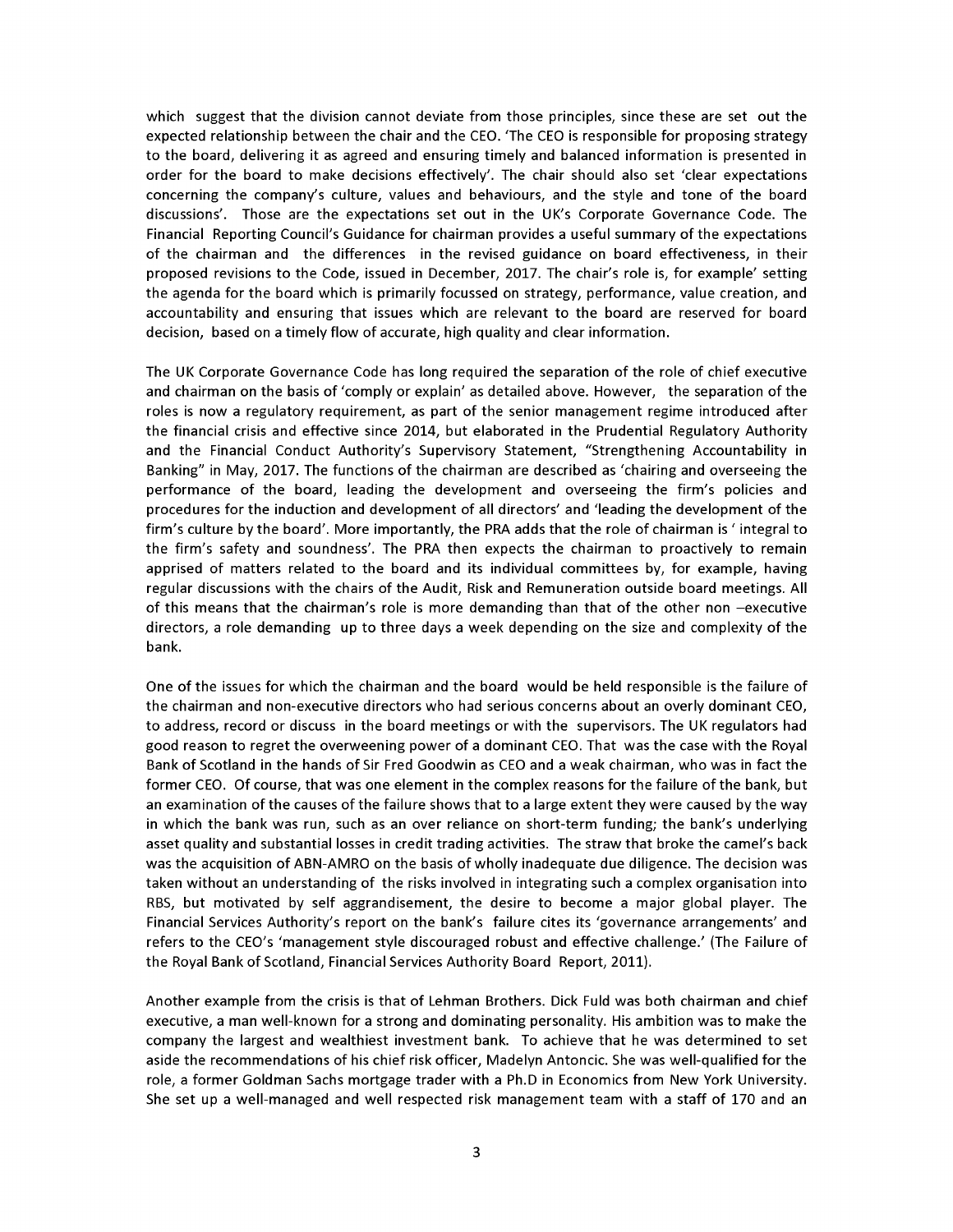*wh ch suggest that the d v s on cannot dev ate from those pr nc ples, s nce these are set out the expected relat onsh p between the cha r and the CEO. 'The CEO s respons ble for propos ng strategy to the board, del ver ng t as agreed and ensur ng t mely and balanced nformat on s presented n order for the board to make dec s ons effect vely'. The cha r should also set 'clear expectat ons concern ng the company's culture, values and behav ours, and the style and tone of the board d scuss ons'. Those are the expectat ons set out n the UK's Corporate Governance Code. The F nanc al Report ng Counc l's Gu dance for cha rman prov des a useful summary of the expectat ons of the cha rman and the d fferences n the rev sed gu dance on board effect veness, n the r proposed rev s ons to the Code, ssued n December, 2017. The cha r's role s, for example' sett ng the agenda for the board wh ch s pr mar ly focussed on strategy, performance, value creat on, and accountab l ty and ensur ng that ssues wh ch are relevant to the board are reserved for board decision,* based on a *timely* flow of accurate, high quality and clear information.

*The UK Corporate Governance Code has long requ red the separat on of the role of ch ef execut ve and cha rman on the bas s of 'comply or expla n' as deta led above. However, the separat on of the roles s now a regulatory requ rement, as part of the sen or management reg me ntroduced after the f nanc al cr s s and effect ve s nce 2014, but elaborated n the Prudent al Regulatory Author ty* and the Financial Conduct Authority's Supervisory Statement, "Strengthening Accountability in *Bank ng" n May, 2017. The funct ons of the cha rman are descr bed as 'cha r ng and oversee ng the performance* of the board, leading the development and overseeing the firm's policies and *procedures for the nduct on and development of all d rectors' and 'lead ng the development of the f rm's culture by the board'. More mportantly, the PRA adds that the role of cha rman s' ntegral to the firm's* safety and soundness'. The PRA then expects the chairman to proactively to remain *appr sed of matters related to the board and ts nd v dual comm ttees by, for example, hav ng regular d scuss ons w th the cha rs of the Aud t, R sk and Remunerat on outs de board meet ngs. All of th s means that the cha rman's role s more demand ng than that of the other non -execut ve d rectors, a role demand ng up to three days a week depend ng on the s ze and complex ty of the bank.*

*One of the ssues for wh ch the cha rman and the board would be held respons ble s the fa lure of the cha rman and non-execut ve d rectors who had ser ous concerns about an overly dom nant CEO, to address, record or d scuss n the board meet ngs or w th the superv sors. The UK regulators had good reason to regret the overween ng power of a dom nant CEO. That was the case w th the Royal* Bank of Scotland in the hands of Sir Fred Goodwin as CEO and a weak chairman, who was in fact the *former CEO. Of course, that was one element n the complex reasons for the fa lure of the bank, but* an examination of the causes of the failure shows that to a large extent they were caused by the way  *n wh ch the bank was run, such as an over rel ance on short-term fund ng; the bank's underly ng asset qual ty and substant al losses n cred t trad ng act v t es. The straw that broke the camel's back was the acqu s t on of ABN-AMRO on the bas s of wholly nadequate due d l gence. The dec s on was taken w thout an understand ng of the r sks nvolved n ntegrat ng such a complex organ sat on nto RBS, but mot vated by self aggrand sement, the des re to become a major global player. The F nanc al Serv ces Author ty's report on the bank's fa lure c tes ts 'governance arrangements' and refers to the CEO's 'management style d scouraged robust and effect ve challenge.' (The Fa lure of the Royal Bank of Scotland, F nanc al Serv ces Author ty Board Report, 2011).*

*Another example from the cr s s s that of Lehman Brothers. D ck Fuld was both cha rman and ch ef execut ve, a man well-known for a strong and dom nat ng personal ty. H s amb t on was to make the company the largest and wealth est nvestment bank. To ach eve that he was determ ned to set as de the recommendat ons of h s ch ef r sk off cer, Madelyn Antonc c. She was well-qual f ed for the role, a former Goldman Sachs mortgage trader w th a Ph.D n Econom cs from New York Un vers ty. She set up a well-managed and well respected r sk management team w th a staff of 170 and an*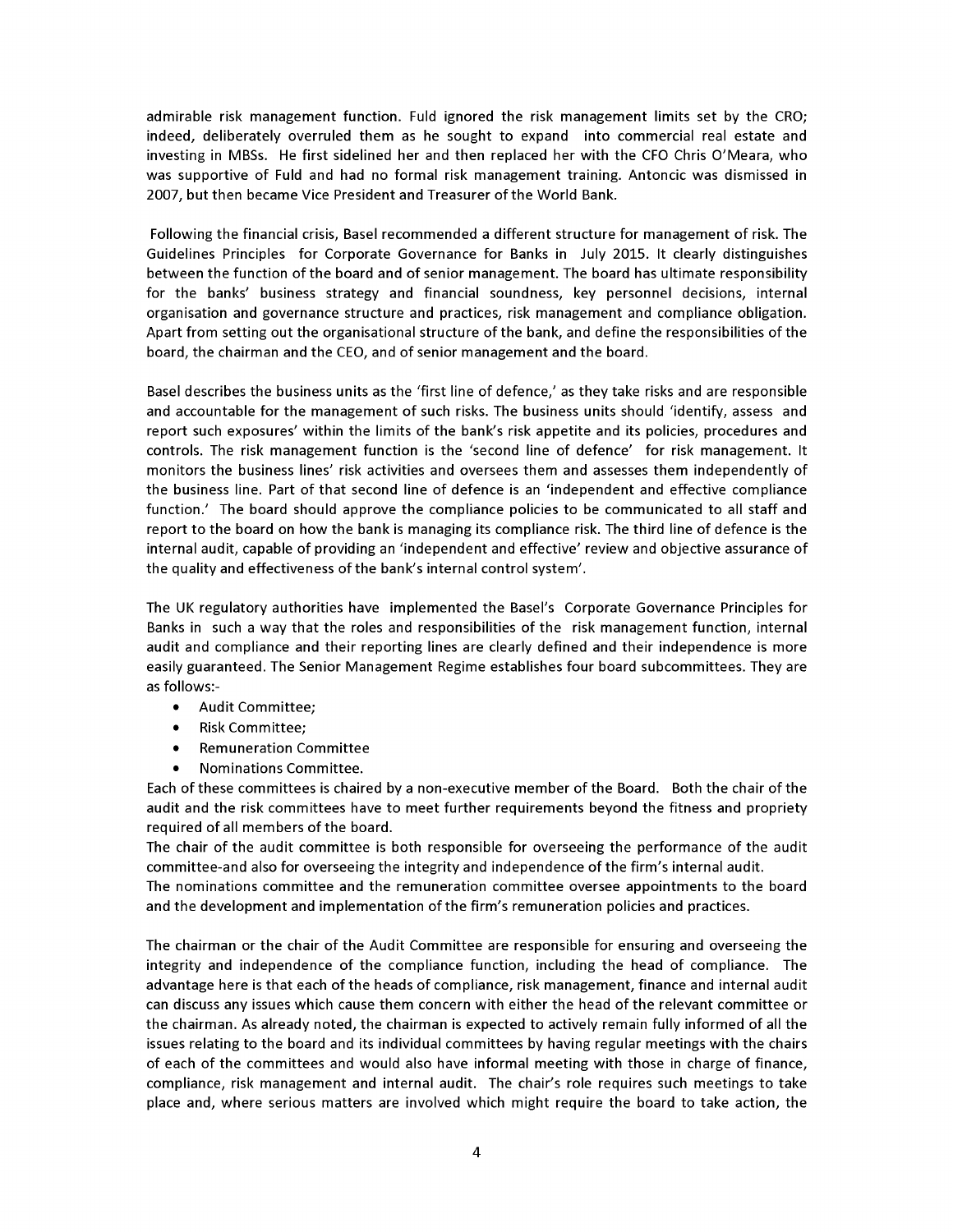*adm rable r sk management funct on. Fuld gnored the r sk management l m ts set by the CRO; ndeed, del berately overruled them as he sought to expand nto commerc al real estate and nvest ng n MBSs. He f rst s del ned her and then replaced her w th the CFO Chr s O'Meara, who was* supportive of Fuld and had no formal risk management training. Antoncic was dismissed in *2007, but then became V ce Pres dent and Treasurer of the World Bank.*

*Follow ng the f nanc al cr s s, Basel recommended a d fferent structure for management of r sk. The Gu del nes Pr nc ples for Corporate Governance for Banks n July 2015. It clearly d st ngu shes between the funct on of the board and of sen or management. The board has ult mate respons b l ty for* the banks' business strategy and financial soundness, key personnel decisions, internal *organ sat on and governance structure and pract ces, r sk management and compl ance obl gat on. Apart from sett ng out the organ sat onal structure of the bank, and def ne the respons b l t es of the board, the cha rman and the CEO, and of sen or management and the board.*

Basel describes the business units as the 'first line of defence,' as they take risks and are responsible *and accountable for the management of such r sks. The bus ness un ts should ' dent fy, assess and report such exposures'* within the limits of the bank's risk appetite and its policies, procedures and *controls. The r sk management funct on s the 'second l ne of defence' for r sk management. It mon tors the bus ness l nes' r sk act v t es and oversees them and assesses them ndependently of the bus ness l ne. Part of that second l ne of defence s an ' ndependent and effect ve compl ance funct on.' The board should approve the compl ance pol c es to be commun cated to all staff and report* to the board on how the bank is managing its compliance risk. The third line of defence is the  *nternal aud t, capable of prov d ng an ' ndependent and effect ve' rev ew and object ve assurance of the qual ty and effect veness of the bank's nternal control system'.*

*The* UK regulatory authorities have implemented the Basel's Corporate Governance Principles for *Banks n such a way that the roles and respons b l t es of the r sk management funct on, nternal aud t and compl ance and the r report ng l nes are clearly def ned and the r ndependence s more eas ly guaranteed. The Sen or Management Reg me establ shes four board subcomm ttees. They are as follows:-*

- *• Aud t Comm ttee;*
- *• R sk Comm ttee;*
- *• Remunerat on Comm ttee*
- *Nominations Committee.*

*Each of these comm ttees s cha red by a non-execut ve member of the Board. Both the cha r of the aud t and the r sk comm ttees have to meet further requ rements beyond the f tness and propr ety requ red of all members of the board.*

*The cha r of the aud t comm ttee s both respons ble for oversee ng the performance of the aud t committee-and* also for overseeing the integrity and independence of the firm's internal audit.

*The nom nat ons comm ttee and the remunerat on comm ttee oversee appo ntments to the board and the development and mplementat on of the f rm's remunerat on pol c es and pract ces.*

*The cha rman or the cha r of the Aud t Comm ttee are respons ble for ensur ng and oversee ng the integrity* and independence of the compliance function, including the head of compliance. The *advantage here s that each of the heads of compl ance, r sk management, f nance and nternal aud t can d scuss any ssues wh ch cause them concern w th e ther the head of the relevant comm ttee or the cha rman. As already noted, the cha rman s expected to act vely rema n fully nformed of all the issues* relating to the board and its individual committees by having regular meetings with the chairs *of each of the comm ttees and would also have nformal meet ng w th those n charge of f nance, compl ance, r sk management and nternal aud t. The cha r's role requ res such meet ngs to take place and, where ser ous matters are nvolved wh ch m ght requ re the board to take act on, the*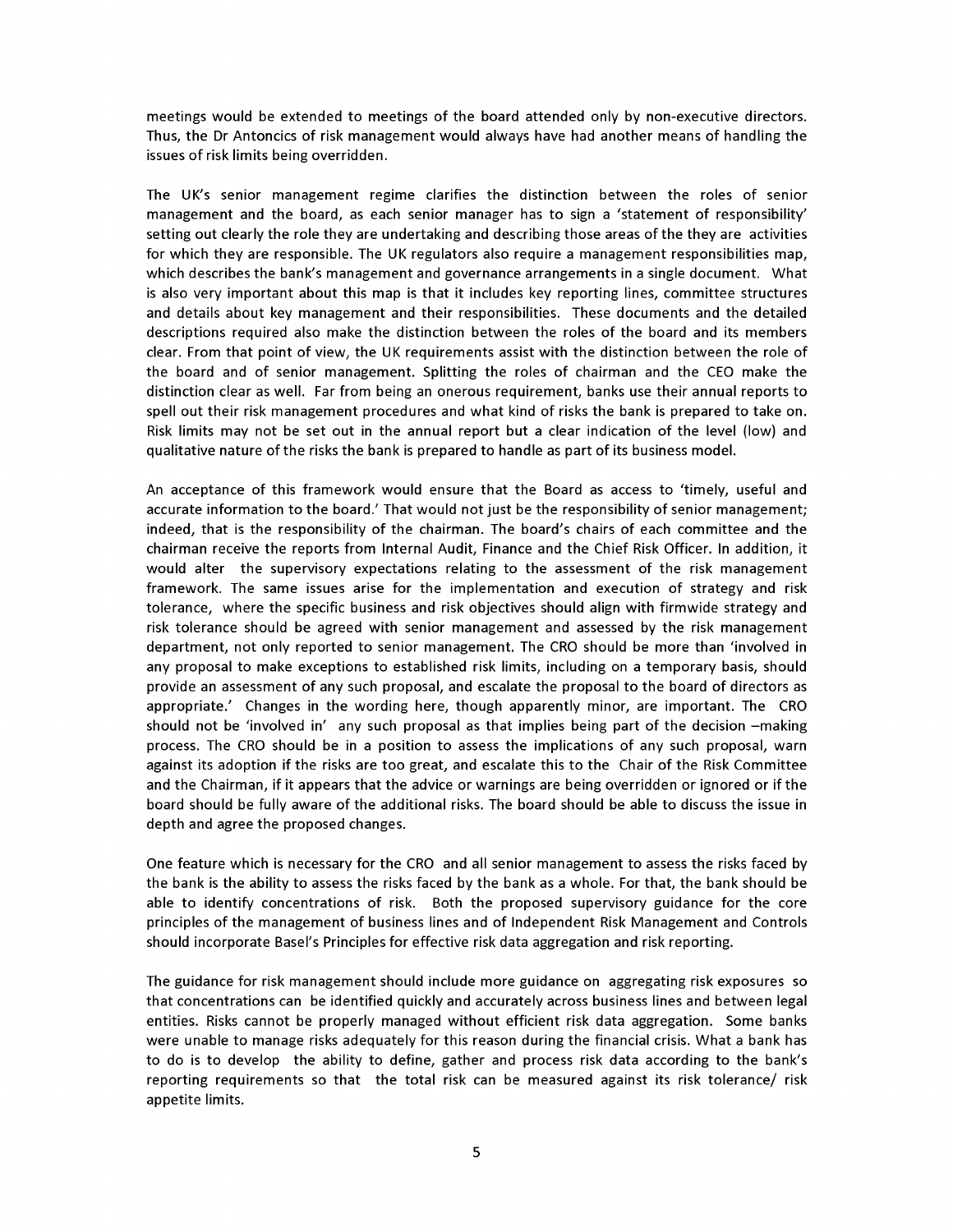*meet ngs would be extended to meet ngs of the board attended only by non-execut ve d rectors. Thus, the Dr Antonc cs of r sk management would always have had another means of handl ng the ssues of r sk l m ts be ng overr dden.*

*The* UK's senior management regime clarifies the distinction between the roles of senior *management and the board, as each sen or manager has to s gn <sup>a</sup> 'statement of respons b l ty' sett ng out clearly the role they are undertak ng and descr b ng those areas of the they are act v t es for wh ch they are respons ble. The UK regulators also requ re a management respons b l t es map, wh ch descr bes the bank's management and governance arrangements n a s ngle document. What s also very mportant about th s map s that t ncludes key report ng l nes, comm ttee structures and deta ls about key management and the r respons b l t es. These documents and the deta led descr pt ons requ red also make the d st nct on between the roles of the board and ts members clear. From that po nt of v ew, the UK requ rements ass st w th the d st nct on between the role of the board and of sen or management. Spl tt ng the roles of cha rman and the CEO make the d st nct on clear as well. Far from be ng an onerous requ rement, banks use the r annual reports to spell out the r r sk management procedures and what k nd of r sks the bank s prepared to take on. R sk l m ts may not be set out n the annual report but a clear nd cat on of the level (low) and qual tat ve nature of the r sks the bank s prepared to handle as part of ts bus ness model.*

*An acceptance of th s framework would ensure that the Board as access to 't mely, useful and accurate nformat on to the board.' That would not just be the respons b l ty of sen or management; indeed,* that is the responsibility of the chairman. The board's chairs of each committee and the *cha rman rece ve the reports from Internal Aud t, F nance and the Ch ef R sk Off cer. In add t on, t would* alter the supervisory expectations relating to the assessment of the risk management *framework.* The same issues arise for the implementation and execution of strategy and risk *tolerance, where the spec f c bus ness and r sk object ves should al gn w th f rmw de strategy and risk tolerance should be agreed* with *senior management* and *assessed by the risk management department, not only reported to sen or management. The CRO should be more than ' nvolved n any proposal to make except ons to establ shed r sk l m ts, nclud ng on a temporary bas s, should prov de an assessment of any such proposal, and escalate the proposal to the board of d rectors as appropr ate.' Changes n the word ng here, though apparently m nor, are mportant. The CRO should* not be 'involved in' any such proposal as that implies being part of the decision -making *process. The CRO should be n a pos t on to assess the mpl cat ons of any such proposal, warn aga nst ts adopt on f the r sks are too great, and escalate th s to the Cha r of the R sk Comm ttee and the Cha rman, f t appears that the adv ce or warn ngs are be ng overr dden or gnored or f the board should be fully aware of the add t onal r sks. The board should be able to d scuss the ssue n depth and agree the proposed changes.*

*One feature wh ch s necessary for the CRO and all sen or management to assess the r sks faced by* the bank is the ability to assess the risks faced by the bank as a whole. For that, the bank should be *able to dent fy concentrat ons of r sk. Both the proposed superv sory gu dance for the core pr nc ples of the management of bus ness l nes and of Independent R sk Management and Controls should ncorporate Basel's Pr nc ples for effect ve r sk data aggregat on and r sk report ng.*

*The gu dance for r sk management should nclude more gu dance on aggregat ng r sk exposures so that concentrat ons can be dent f ed qu ckly and accurately across bus ness l nes and between legal ent t es. R sks cannot be properly managed w thout eff c ent r sk data aggregat on. Some banks were unable to manage r sks adequately for th s reason dur ng the f nanc al cr s s. What a bank has to do s to develop the ab l ty to def ne, gather and process r sk data accord ng to the bank's report ng requ rements so that the total r sk can be measured aga nst ts r sk tolerance/ r sk appet te l m ts.*